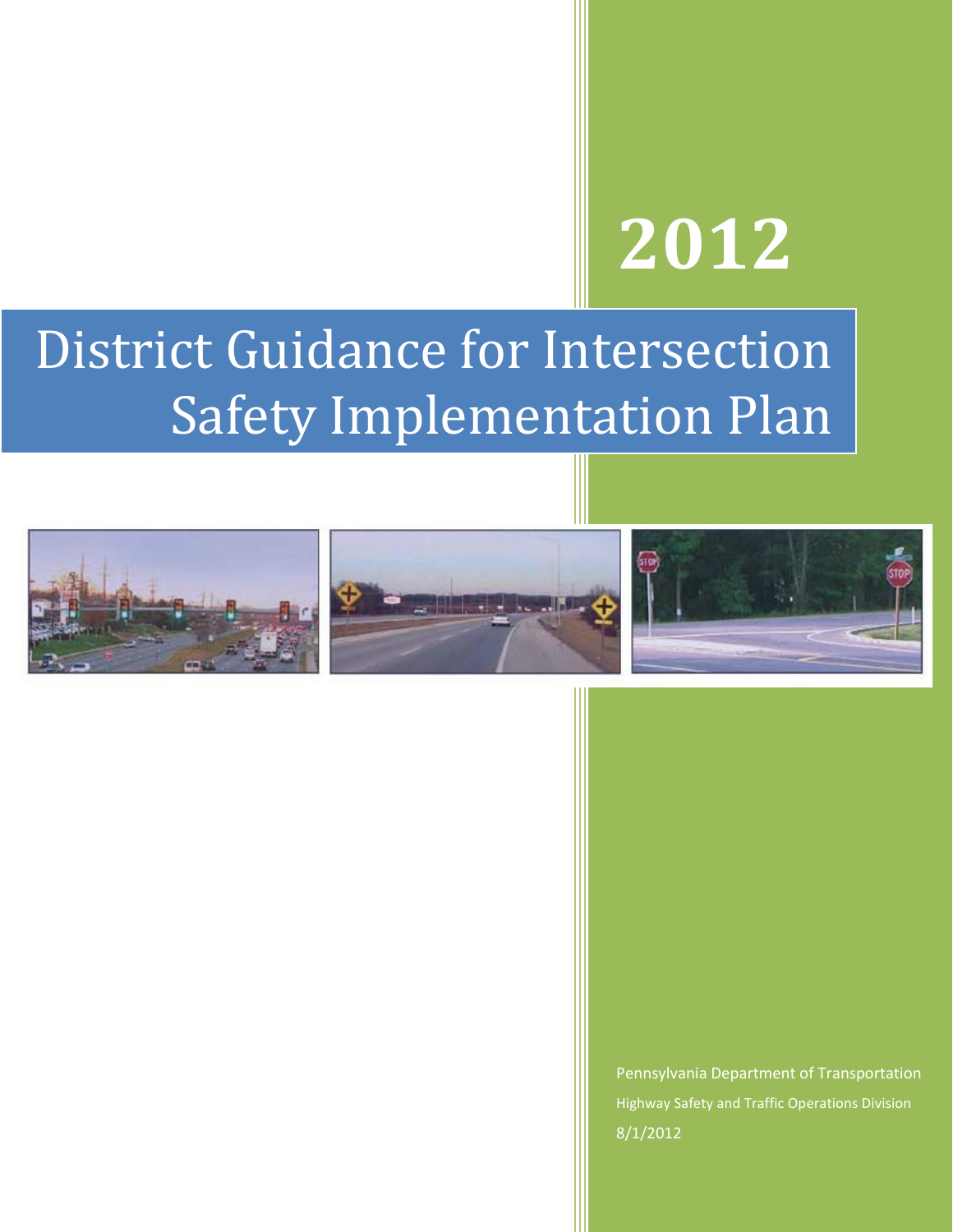# **2012**

## District Guidance for Intersection Safety Implementation Plan







Pennsylvania Department of Transportation Highway Safety and Traffic Operations Division 8/1/2012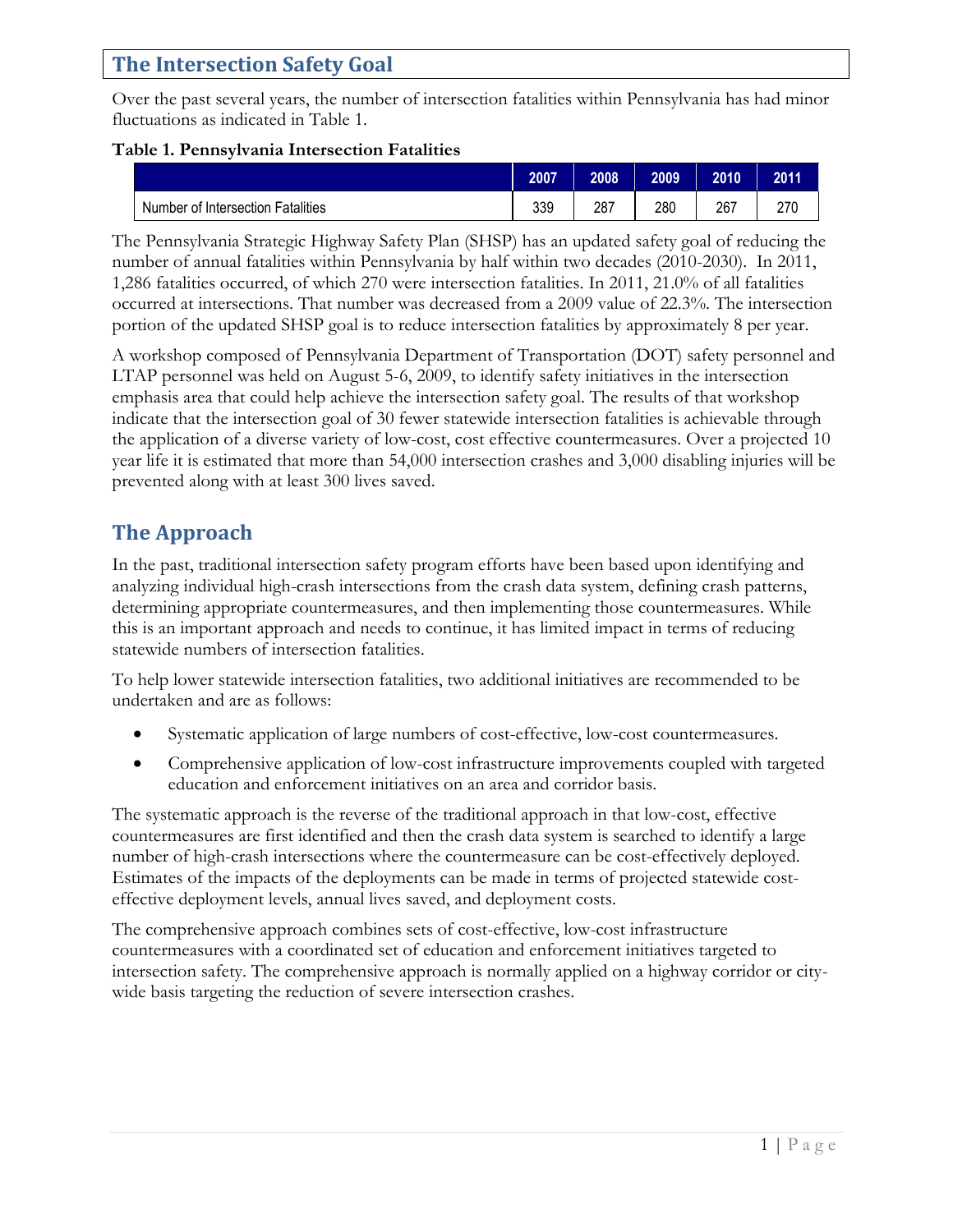#### **The Intersection Safety Goal**

Over the past several years, the number of intersection fatalities within Pennsylvania has had minor fluctuations as indicated in Table 1.

#### **Table 1. Pennsylvania Intersection Fatalities**

|                                   | 2007 | 2008 | 2009 | 2010 | 2011 |
|-----------------------------------|------|------|------|------|------|
| Number of Intersection Fatalities | 339  | 287  | 280  | 267  | 270  |

The Pennsylvania Strategic Highway Safety Plan (SHSP) has an updated safety goal of reducing the number of annual fatalities within Pennsylvania by half within two decades (2010-2030). In 2011, 1,286 fatalities occurred, of which 270 were intersection fatalities. In 2011, 21.0% of all fatalities occurred at intersections. That number was decreased from a 2009 value of 22.3%. The intersection portion of the updated SHSP goal is to reduce intersection fatalities by approximately 8 per year.

A workshop composed of Pennsylvania Department of Transportation (DOT) safety personnel and LTAP personnel was held on August 5-6, 2009, to identify safety initiatives in the intersection emphasis area that could help achieve the intersection safety goal. The results of that workshop indicate that the intersection goal of 30 fewer statewide intersection fatalities is achievable through the application of a diverse variety of low-cost, cost effective countermeasures. Over a projected 10 year life it is estimated that more than 54,000 intersection crashes and 3,000 disabling injuries will be prevented along with at least 300 lives saved.

## **The Approach**

In the past, traditional intersection safety program efforts have been based upon identifying and analyzing individual high-crash intersections from the crash data system, defining crash patterns, determining appropriate countermeasures, and then implementing those countermeasures. While this is an important approach and needs to continue, it has limited impact in terms of reducing statewide numbers of intersection fatalities.

To help lower statewide intersection fatalities, two additional initiatives are recommended to be undertaken and are as follows:

- Systematic application of large numbers of cost-effective, low-cost countermeasures.
- Comprehensive application of low-cost infrastructure improvements coupled with targeted education and enforcement initiatives on an area and corridor basis.

The systematic approach is the reverse of the traditional approach in that low-cost, effective countermeasures are first identified and then the crash data system is searched to identify a large number of high-crash intersections where the countermeasure can be cost-effectively deployed. Estimates of the impacts of the deployments can be made in terms of projected statewide costeffective deployment levels, annual lives saved, and deployment costs.

The comprehensive approach combines sets of cost-effective, low-cost infrastructure countermeasures with a coordinated set of education and enforcement initiatives targeted to intersection safety. The comprehensive approach is normally applied on a highway corridor or citywide basis targeting the reduction of severe intersection crashes.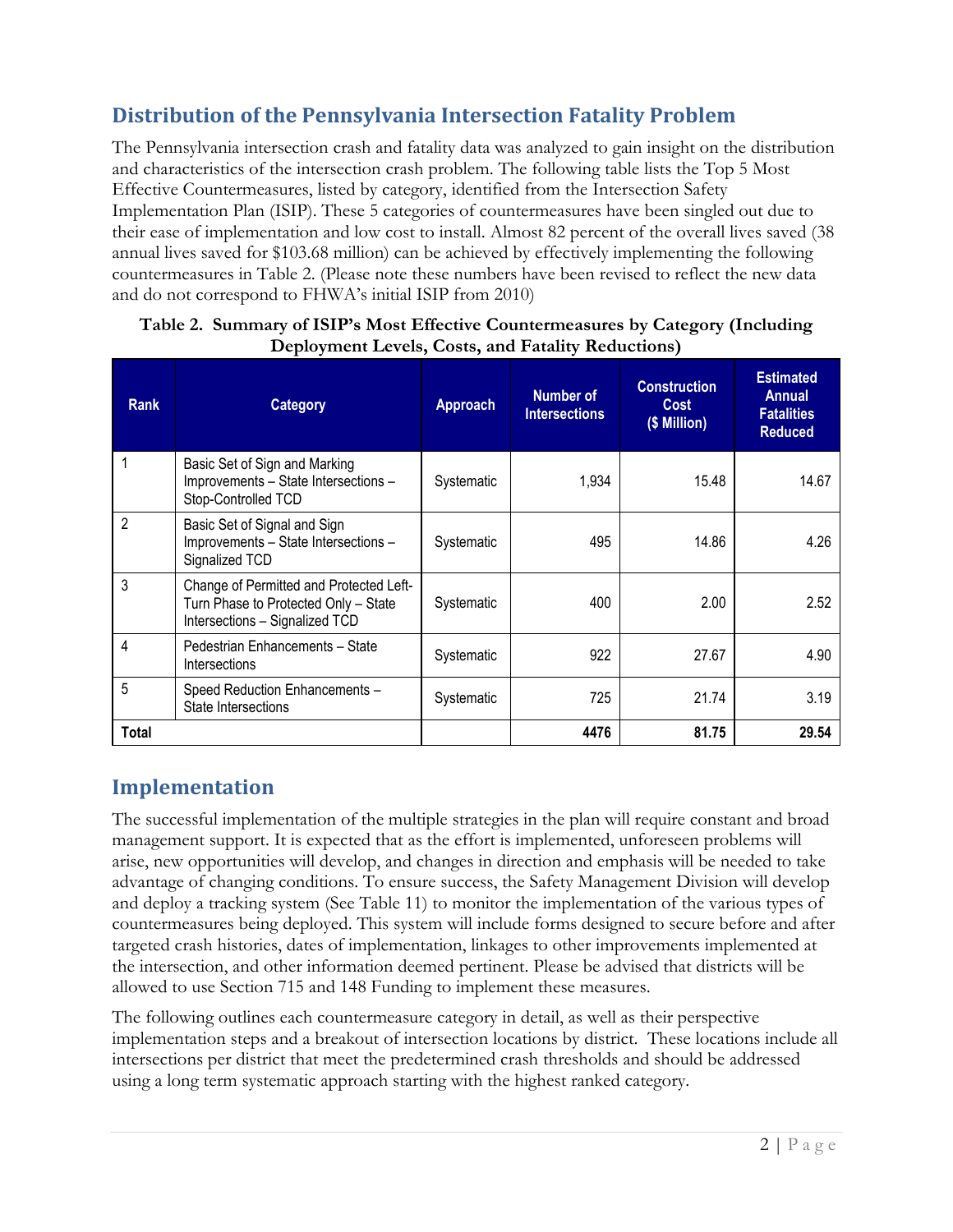## **Distribution of the Pennsylvania Intersection Fatality Problem**

The Pennsylvania intersection crash and fatality data was analyzed to gain insight on the distribution and characteristics of the intersection crash problem. The following table lists the Top 5 Most Effective Countermeasures, listed by category, identified from the Intersection Safety Implementation Plan (ISIP). These 5 categories of countermeasures have been singled out due to their ease of implementation and low cost to install. Almost 82 percent of the overall lives saved (38 annual lives saved for \$103.68 million) can be achieved by effectively implementing the following countermeasures in Table 2. (Please note these numbers have been revised to reflect the new data and do not correspond to FHWA's initial ISIP from 2010)

| <b>Rank</b>    | <b>Category</b>                                                                                                   | Approach   | Number of<br><b>Intersections</b> | <b>Construction</b><br><b>Cost</b><br>(\$ Million) | <b>Estimated</b><br><b>Annual</b><br><b>Fatalities</b><br><b>Reduced</b> |
|----------------|-------------------------------------------------------------------------------------------------------------------|------------|-----------------------------------|----------------------------------------------------|--------------------------------------------------------------------------|
|                | Basic Set of Sign and Marking<br>Improvements - State Intersections -<br>Stop-Controlled TCD                      | Systematic | 1,934                             | 15.48                                              | 14.67                                                                    |
| $\overline{2}$ | Basic Set of Signal and Sign<br>Improvements - State Intersections -<br>Signalized TCD                            | Systematic | 495                               | 14.86                                              | 4.26                                                                     |
| 3              | Change of Permitted and Protected Left-<br>Turn Phase to Protected Only - State<br>Intersections - Signalized TCD | Systematic | 400                               | 2.00                                               | 2.52                                                                     |
| 4              | Pedestrian Enhancements - State<br>Intersections                                                                  | Systematic | 922                               | 27.67                                              | 4.90                                                                     |
| 5              | Speed Reduction Enhancements -<br>State Intersections                                                             | Systematic | 725                               | 21.74                                              | 3.19                                                                     |
| Total          |                                                                                                                   |            | 4476                              | 81.75                                              | 29.54                                                                    |

#### **Table 2. Summary of ISIP's Most Effective Countermeasures by Category (Including Deployment Levels, Costs, and Fatality Reductions)**

## **Implementation**

The successful implementation of the multiple strategies in the plan will require constant and broad management support. It is expected that as the effort is implemented, unforeseen problems will arise, new opportunities will develop, and changes in direction and emphasis will be needed to take advantage of changing conditions. To ensure success, the Safety Management Division will develop and deploy a tracking system (See Table 11) to monitor the implementation of the various types of countermeasures being deployed. This system will include forms designed to secure before and after targeted crash histories, dates of implementation, linkages to other improvements implemented at the intersection, and other information deemed pertinent. Please be advised that districts will be allowed to use Section 715 and 148 Funding to implement these measures.

The following outlines each countermeasure category in detail, as well as their perspective implementation steps and a breakout of intersection locations by district. These locations include all intersections per district that meet the predetermined crash thresholds and should be addressed using a long term systematic approach starting with the highest ranked category.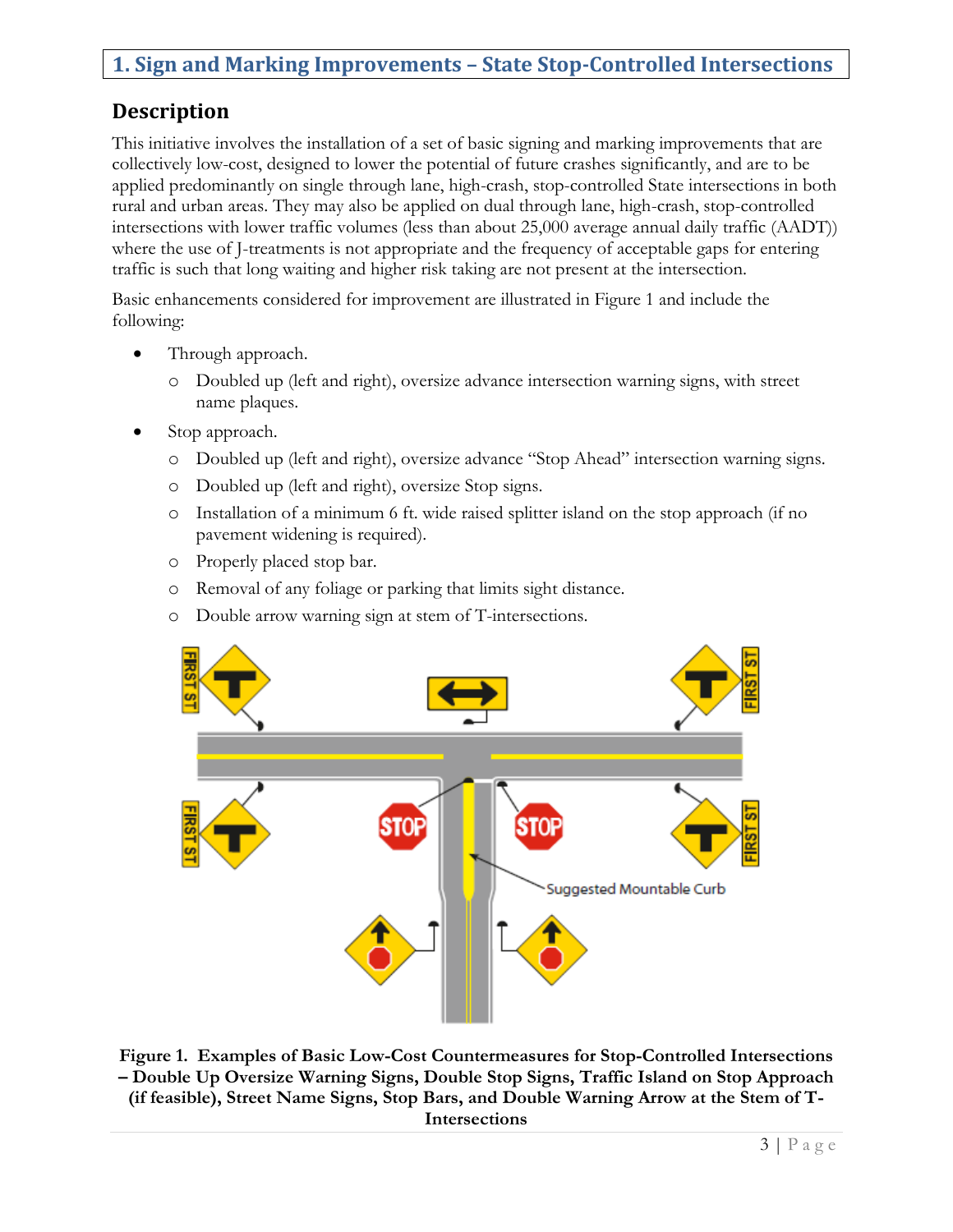## **1. Sign and Marking Improvements – State Stop-Controlled Intersections**

## **Description**

This initiative involves the installation of a set of basic signing and marking improvements that are collectively low-cost, designed to lower the potential of future crashes significantly, and are to be applied predominantly on single through lane, high-crash, stop-controlled State intersections in both rural and urban areas. They may also be applied on dual through lane, high-crash, stop-controlled intersections with lower traffic volumes (less than about 25,000 average annual daily traffic (AADT)) where the use of J-treatments is not appropriate and the frequency of acceptable gaps for entering traffic is such that long waiting and higher risk taking are not present at the intersection.

Basic enhancements considered for improvement are illustrated in Figure 1 and include the following:

- Through approach.
	- o Doubled up (left and right), oversize advance intersection warning signs, with street name plaques.
- Stop approach.
	- o Doubled up (left and right), oversize advance "Stop Ahead" intersection warning signs.
	- o Doubled up (left and right), oversize Stop signs.
	- o Installation of a minimum 6 ft. wide raised splitter island on the stop approach (if no pavement widening is required).
	- o Properly placed stop bar.
	- o Removal of any foliage or parking that limits sight distance.
	- o Double arrow warning sign at stem of T-intersections.



**Figure 1. Examples of Basic Low-Cost Countermeasures for Stop-Controlled Intersections – Double Up Oversize Warning Signs, Double Stop Signs, Traffic Island on Stop Approach (if feasible), Street Name Signs, Stop Bars, and Double Warning Arrow at the Stem of T-Intersections**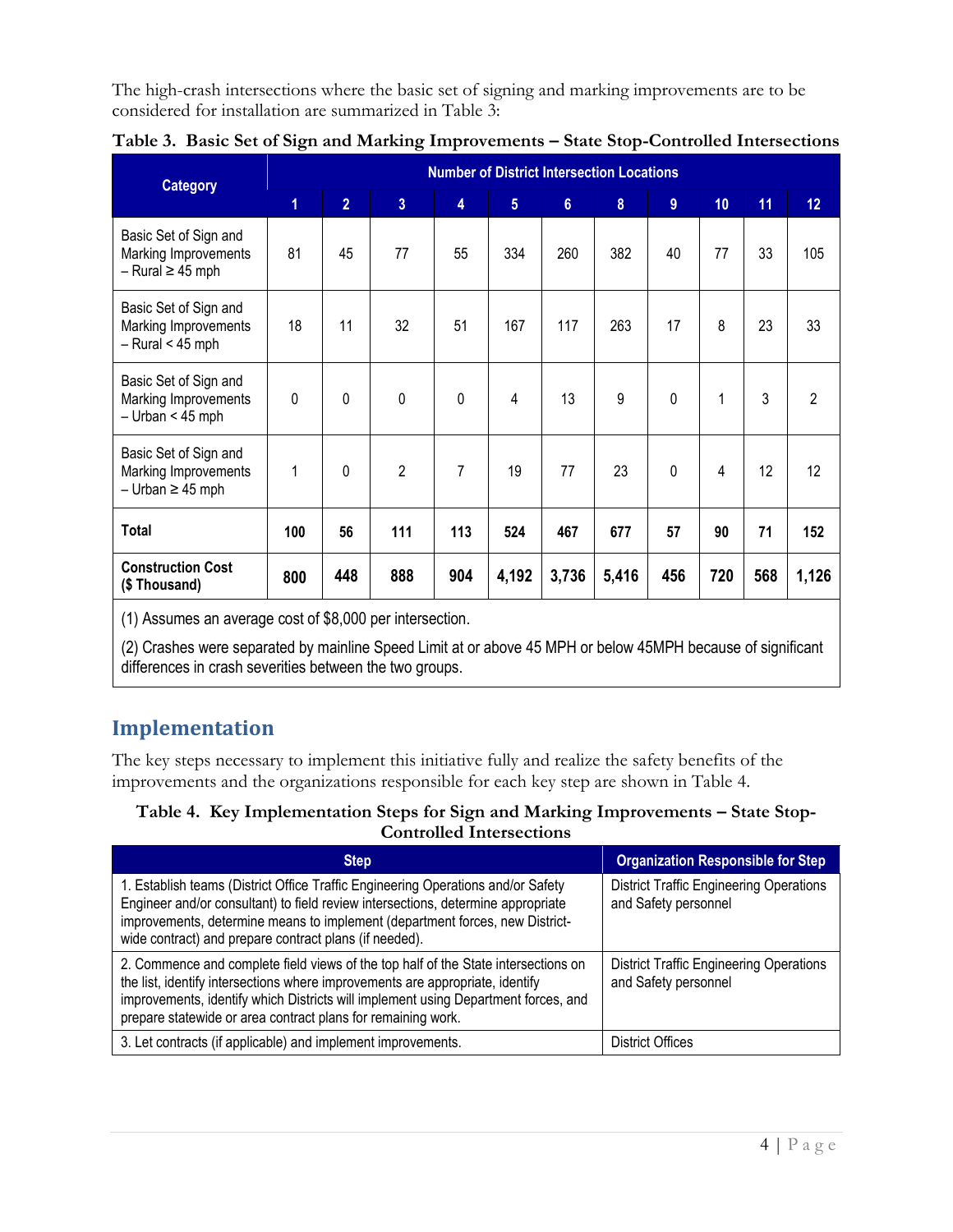The high-crash intersections where the basic set of signing and marking improvements are to be considered for installation are summarized in Table 3:

| <b>Category</b>                                                          |                |                |                | <b>Number of District Intersection Locations</b> |       |       |       |             |     |     |                |
|--------------------------------------------------------------------------|----------------|----------------|----------------|--------------------------------------------------|-------|-------|-------|-------------|-----|-----|----------------|
|                                                                          | $\overline{1}$ | $\overline{2}$ | 3 <sup>1</sup> | 4                                                | 5     | 6     | 8     | 9           | 10  | 11  | 12             |
| Basic Set of Sign and<br>Marking Improvements<br>$-$ Rural $\geq$ 45 mph | 81             | 45             | 77             | 55                                               | 334   | 260   | 382   | 40          | 77  | 33  | 105            |
| Basic Set of Sign and<br>Marking Improvements<br>$-$ Rural < 45 mph      | 18             | 11             | 32             | 51                                               | 167   | 117   | 263   | 17          | 8   | 23  | 33             |
| Basic Set of Sign and<br>Marking Improvements<br>$-$ Urban < 45 mph      | $\Omega$       | 0              | $\Omega$       | $\Omega$                                         | 4     | 13    | 9     | 0           | 1   | 3   | $\overline{2}$ |
| Basic Set of Sign and<br>Marking Improvements<br>$-$ Urban $\geq$ 45 mph | 1              | 0              | 2              | 7                                                | 19    | 77    | 23    | $\mathbf 0$ | 4   | 12  | 12             |
| <b>Total</b>                                                             | 100            | 56             | 111            | 113                                              | 524   | 467   | 677   | 57          | 90  | 71  | 152            |
| <b>Construction Cost</b><br>(\$Thousand)                                 | 800            | 448            | 888            | 904                                              | 4,192 | 3,736 | 5,416 | 456         | 720 | 568 | 1,126          |

|  |  | Table 3. Basic Set of Sign and Marking Improvements - State Stop-Controlled Intersections |  |  |
|--|--|-------------------------------------------------------------------------------------------|--|--|
|  |  |                                                                                           |  |  |

(1) Assumes an average cost of \$8,000 per intersection.

(2) Crashes were separated by mainline Speed Limit at or above 45 MPH or below 45MPH because of significant differences in crash severities between the two groups.

## **Implementation**

The key steps necessary to implement this initiative fully and realize the safety benefits of the improvements and the organizations responsible for each key step are shown in Table 4.

#### **Table 4. Key Implementation Steps for Sign and Marking Improvements – State Stop-Controlled Intersections**

| <b>Step</b>                                                                                                                                                                                                                                                                                                               | <b>Organization Responsible for Step</b>                               |
|---------------------------------------------------------------------------------------------------------------------------------------------------------------------------------------------------------------------------------------------------------------------------------------------------------------------------|------------------------------------------------------------------------|
| 1. Establish teams (District Office Traffic Engineering Operations and/or Safety<br>Engineer and/or consultant) to field review intersections, determine appropriate<br>improvements, determine means to implement (department forces, new District-<br>wide contract) and prepare contract plans (if needed).            | <b>District Traffic Engineering Operations</b><br>and Safety personnel |
| 2. Commence and complete field views of the top half of the State intersections on<br>the list, identify intersections where improvements are appropriate, identify<br>improvements, identify which Districts will implement using Department forces, and<br>prepare statewide or area contract plans for remaining work. | <b>District Traffic Engineering Operations</b><br>and Safety personnel |
| 3. Let contracts (if applicable) and implement improvements.                                                                                                                                                                                                                                                              | District Offices                                                       |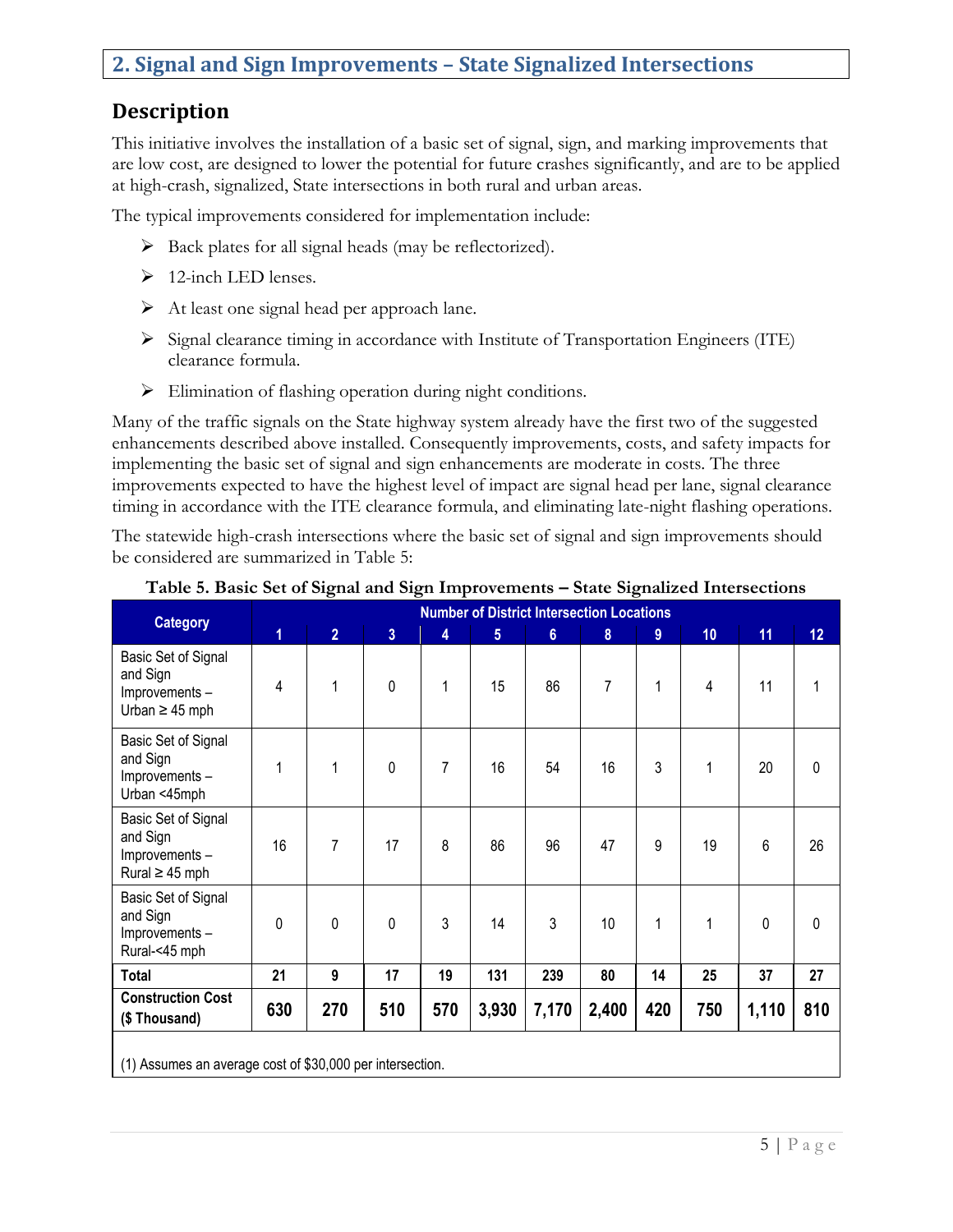#### **2. Signal and Sign Improvements – State Signalized Intersections**

#### **Description**

This initiative involves the installation of a basic set of signal, sign, and marking improvements that are low cost, are designed to lower the potential for future crashes significantly, and are to be applied at high-crash, signalized, State intersections in both rural and urban areas.

The typical improvements considered for implementation include:

- $\triangleright$  Back plates for all signal heads (may be reflectorized).
- $\triangleright$  12-inch LED lenses.
- $\triangleright$  At least one signal head per approach lane.
- $\triangleright$  Signal clearance timing in accordance with Institute of Transportation Engineers (ITE) clearance formula.
- $\triangleright$  Elimination of flashing operation during night conditions.

Many of the traffic signals on the State highway system already have the first two of the suggested enhancements described above installed. Consequently improvements, costs, and safety impacts for implementing the basic set of signal and sign enhancements are moderate in costs. The three improvements expected to have the highest level of impact are signal head per lane, signal clearance timing in accordance with the ITE clearance formula, and eliminating late-night flashing operations.

The statewide high-crash intersections where the basic set of signal and sign improvements should be considered are summarized in Table 5:

| <b>Category</b>                                                         | <b>Number of District Intersection Locations</b> |                |                |     |                 |                |       |     |     |       |     |  |
|-------------------------------------------------------------------------|--------------------------------------------------|----------------|----------------|-----|-----------------|----------------|-------|-----|-----|-------|-----|--|
|                                                                         | 1                                                | $\overline{2}$ | $\overline{3}$ | 4   | $5\phantom{.0}$ | $6\phantom{a}$ | 8     | 9   | 10  | 11    | 12  |  |
| Basic Set of Signal<br>and Sign<br>Improvements-<br>Urban $\geq$ 45 mph | 4                                                | 1              | 0              | 1   | 15              | 86             | 7     | 1   | 4   | 11    |     |  |
| Basic Set of Signal<br>and Sign<br>Improvements-<br>Urban <45mph        | 1                                                | 1              | 0              | 7   | 16              | 54             | 16    | 3   | 1   | 20    | 0   |  |
| Basic Set of Signal<br>and Sign<br>Improvements-<br>Rural $\geq 45$ mph | 16                                               | 7              | 17             | 8   | 86              | 96             | 47    | 9   | 19  | 6     | 26  |  |
| Basic Set of Signal<br>and Sign<br>Improvements-<br>Rural-<45 mph       | 0                                                | $\mathbf 0$    | 0              | 3   | 14              | 3              | 10    | 1   | 1   | 0     | 0   |  |
| <b>Total</b>                                                            | 21                                               | 9              | 17             | 19  | 131             | 239            | 80    | 14  | 25  | 37    | 27  |  |
| <b>Construction Cost</b><br>(\$Thousand)                                | 630                                              | 270            | 510            | 570 | 3,930           | 7,170          | 2,400 | 420 | 750 | 1,110 | 810 |  |
|                                                                         |                                                  |                |                |     |                 |                |       |     |     |       |     |  |

#### **Table 5. Basic Set of Signal and Sign Improvements – State Signalized Intersections**

(1) Assumes an average cost of \$30,000 per intersection.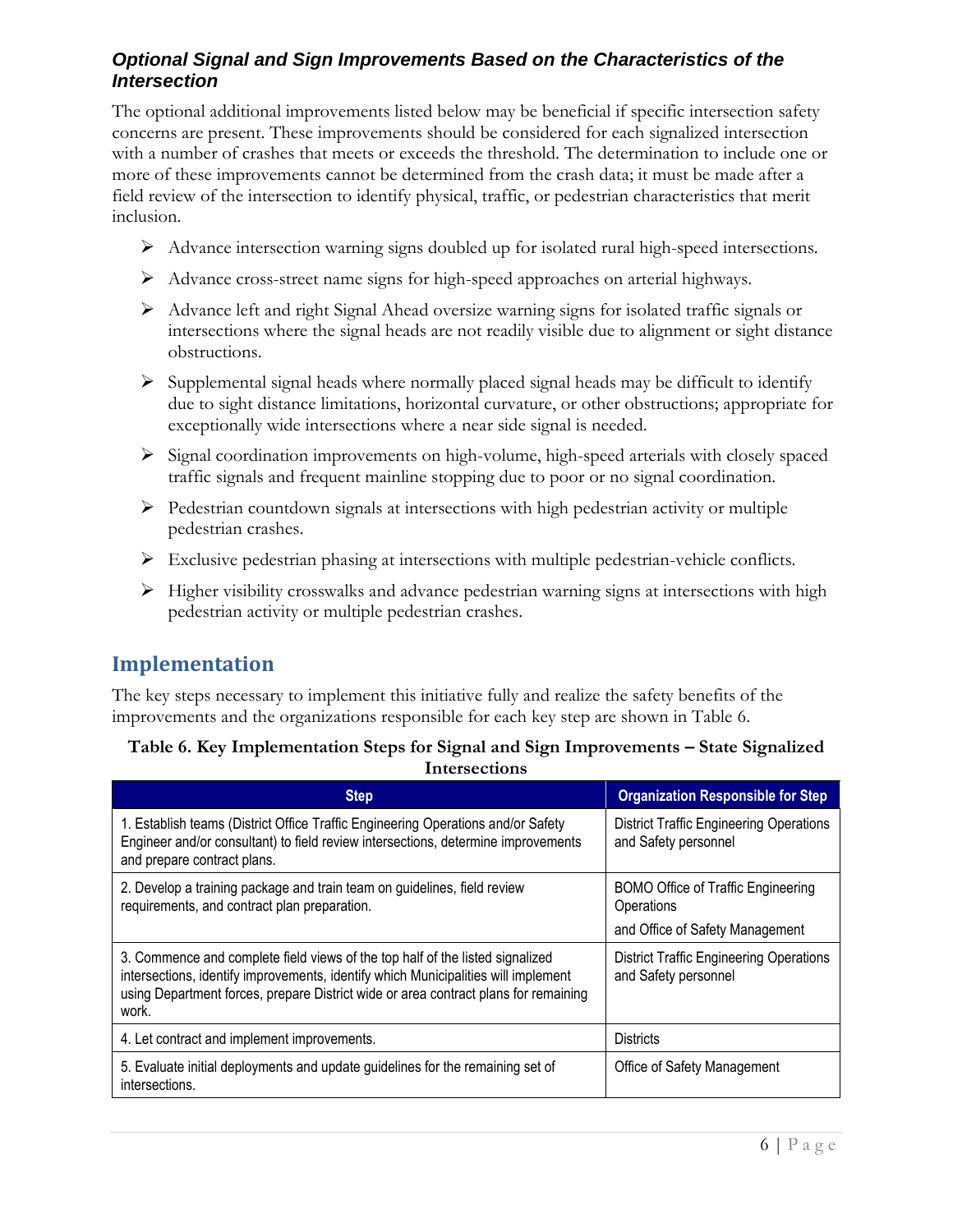#### *Optional Signal and Sign Improvements Based on the Characteristics of the Intersection*

The optional additional improvements listed below may be beneficial if specific intersection safety concerns are present. These improvements should be considered for each signalized intersection with a number of crashes that meets or exceeds the threshold. The determination to include one or more of these improvements cannot be determined from the crash data; it must be made after a field review of the intersection to identify physical, traffic, or pedestrian characteristics that merit inclusion.

- Advance intersection warning signs doubled up for isolated rural high-speed intersections.
- $\triangleright$  Advance cross-street name signs for high-speed approaches on arterial highways.
- $\triangleright$  Advance left and right Signal Ahead oversize warning signs for isolated traffic signals or intersections where the signal heads are not readily visible due to alignment or sight distance obstructions.
- $\triangleright$  Supplemental signal heads where normally placed signal heads may be difficult to identify due to sight distance limitations, horizontal curvature, or other obstructions; appropriate for exceptionally wide intersections where a near side signal is needed.
- Signal coordination improvements on high-volume, high-speed arterials with closely spaced traffic signals and frequent mainline stopping due to poor or no signal coordination.
- $\triangleright$  Pedestrian countdown signals at intersections with high pedestrian activity or multiple pedestrian crashes.
- Exclusive pedestrian phasing at intersections with multiple pedestrian-vehicle conflicts.
- $\triangleright$  Higher visibility crosswalks and advance pedestrian warning signs at intersections with high pedestrian activity or multiple pedestrian crashes.

## **Implementation**

The key steps necessary to implement this initiative fully and realize the safety benefits of the improvements and the organizations responsible for each key step are shown in Table 6.

#### **Table 6. Key Implementation Steps for Signal and Sign Improvements – State Signalized Intersections**

| <b>Step</b>                                                                                                                                                                                                                                                         | <b>Organization Responsible for Step</b>                                                   |
|---------------------------------------------------------------------------------------------------------------------------------------------------------------------------------------------------------------------------------------------------------------------|--------------------------------------------------------------------------------------------|
| 1. Establish teams (District Office Traffic Engineering Operations and/or Safety<br>Engineer and/or consultant) to field review intersections, determine improvements<br>and prepare contract plans.                                                                | <b>District Traffic Engineering Operations</b><br>and Safety personnel                     |
| 2. Develop a training package and train team on guidelines, field review<br>requirements, and contract plan preparation.                                                                                                                                            | <b>BOMO Office of Traffic Engineering</b><br>Operations<br>and Office of Safety Management |
| 3. Commence and complete field views of the top half of the listed signalized<br>intersections, identify improvements, identify which Municipalities will implement<br>using Department forces, prepare District wide or area contract plans for remaining<br>work. | <b>District Traffic Engineering Operations</b><br>and Safety personnel                     |
| 4. Let contract and implement improvements.                                                                                                                                                                                                                         | <b>Districts</b>                                                                           |
| 5. Evaluate initial deployments and update guidelines for the remaining set of<br>intersections.                                                                                                                                                                    | Office of Safety Management                                                                |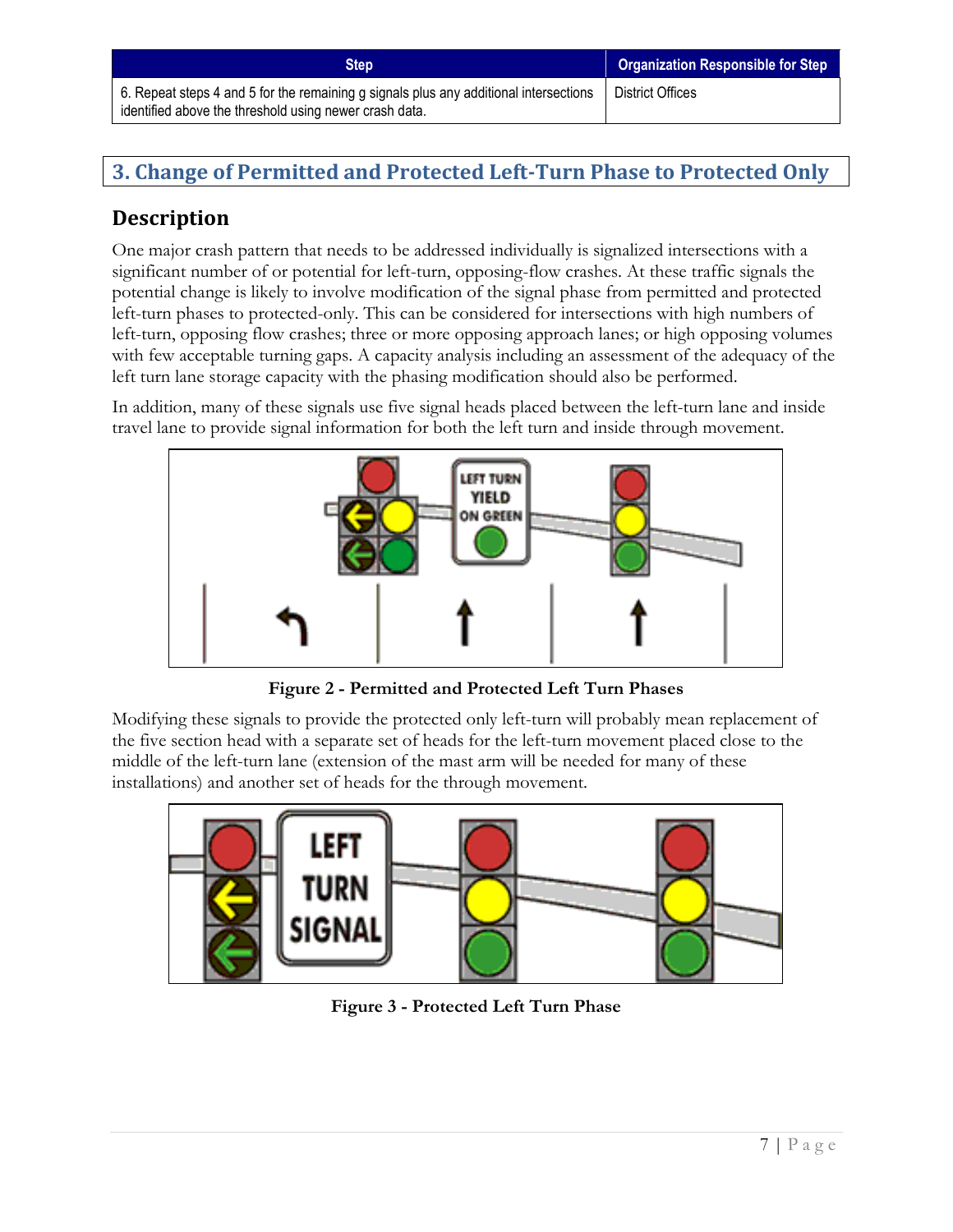## **3. Change of Permitted and Protected Left-Turn Phase to Protected Only**

## **Description**

One major crash pattern that needs to be addressed individually is signalized intersections with a significant number of or potential for left-turn, opposing-flow crashes. At these traffic signals the potential change is likely to involve modification of the signal phase from permitted and protected left-turn phases to protected-only. This can be considered for intersections with high numbers of left-turn, opposing flow crashes; three or more opposing approach lanes; or high opposing volumes with few acceptable turning gaps. A capacity analysis including an assessment of the adequacy of the left turn lane storage capacity with the phasing modification should also be performed.

In addition, many of these signals use five signal heads placed between the left-turn lane and inside travel lane to provide signal information for both the left turn and inside through movement.



**Figure 2 - Permitted and Protected Left Turn Phases**

Modifying these signals to provide the protected only left-turn will probably mean replacement of the five section head with a separate set of heads for the left-turn movement placed close to the middle of the left-turn lane (extension of the mast arm will be needed for many of these installations) and another set of heads for the through movement.



**Figure 3 - Protected Left Turn Phase**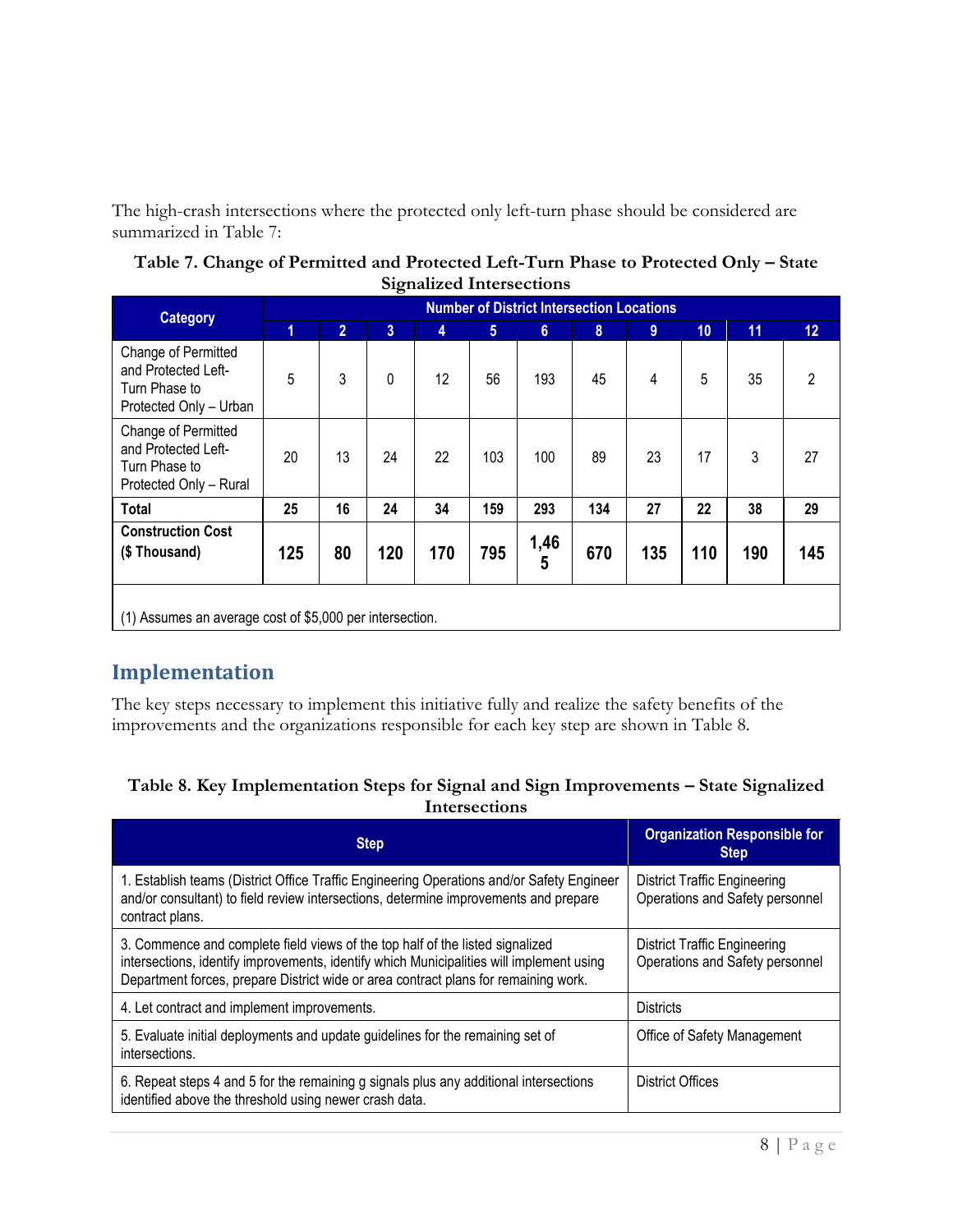The high-crash intersections where the protected only left-turn phase should be considered are summarized in Table 7:

| Table 7. Change of Permitted and Protected Left-Turn Phase to Protected Only – State |
|--------------------------------------------------------------------------------------|
| <b>Signalized Intersections</b>                                                      |

| <b>Category</b>                                                                       |                                                          |                |                |     |            |           | <b>Number of District Intersection Locations</b> |     |     |     |     |
|---------------------------------------------------------------------------------------|----------------------------------------------------------|----------------|----------------|-----|------------|-----------|--------------------------------------------------|-----|-----|-----|-----|
|                                                                                       | 1                                                        | $\overline{2}$ | $\overline{3}$ | 4   | $\sqrt{5}$ | 6         | 8                                                | 9   | 10  | 11  | 12  |
| Change of Permitted<br>and Protected Left-<br>Turn Phase to<br>Protected Only - Urban | 5                                                        | 3              | 0              | 12  | 56         | 193       | 45                                               | 4   | 5   | 35  | 2   |
| Change of Permitted<br>and Protected Left-<br>Turn Phase to<br>Protected Only - Rural | 20                                                       | 13             | 24             | 22  | 103        | 100       | 89                                               | 23  | 17  | 3   | 27  |
| <b>Total</b>                                                                          | 25                                                       | 16             | 24             | 34  | 159        | 293       | 134                                              | 27  | 22  | 38  | 29  |
| <b>Construction Cost</b><br>(\$Thousand)                                              | 125                                                      | 80             | 120            | 170 | 795        | 1,46<br>5 | 670                                              | 135 | 110 | 190 | 145 |
|                                                                                       | (1) Assumes an average cost of \$5,000 per intersection. |                |                |     |            |           |                                                  |     |     |     |     |

## **Implementation**

The key steps necessary to implement this initiative fully and realize the safety benefits of the improvements and the organizations responsible for each key step are shown in Table 8.

| Table 8. Key Implementation Steps for Signal and Sign Improvements - State Signalized |
|---------------------------------------------------------------------------------------|
| Intersections                                                                         |

| <b>Step</b>                                                                                                                                                                                                                                                      | <b>Organization Responsible for</b><br><b>Step</b>                     |
|------------------------------------------------------------------------------------------------------------------------------------------------------------------------------------------------------------------------------------------------------------------|------------------------------------------------------------------------|
| 1. Establish teams (District Office Traffic Engineering Operations and/or Safety Engineer<br>and/or consultant) to field review intersections, determine improvements and prepare<br>contract plans.                                                             | <b>District Traffic Engineering</b><br>Operations and Safety personnel |
| 3. Commence and complete field views of the top half of the listed signalized<br>intersections, identify improvements, identify which Municipalities will implement using<br>Department forces, prepare District wide or area contract plans for remaining work. | <b>District Traffic Engineering</b><br>Operations and Safety personnel |
| 4. Let contract and implement improvements.                                                                                                                                                                                                                      | <b>Districts</b>                                                       |
| 5. Evaluate initial deployments and update guidelines for the remaining set of<br>intersections.                                                                                                                                                                 | Office of Safety Management                                            |
| 6. Repeat steps 4 and 5 for the remaining g signals plus any additional intersections<br>identified above the threshold using newer crash data.                                                                                                                  | District Offices                                                       |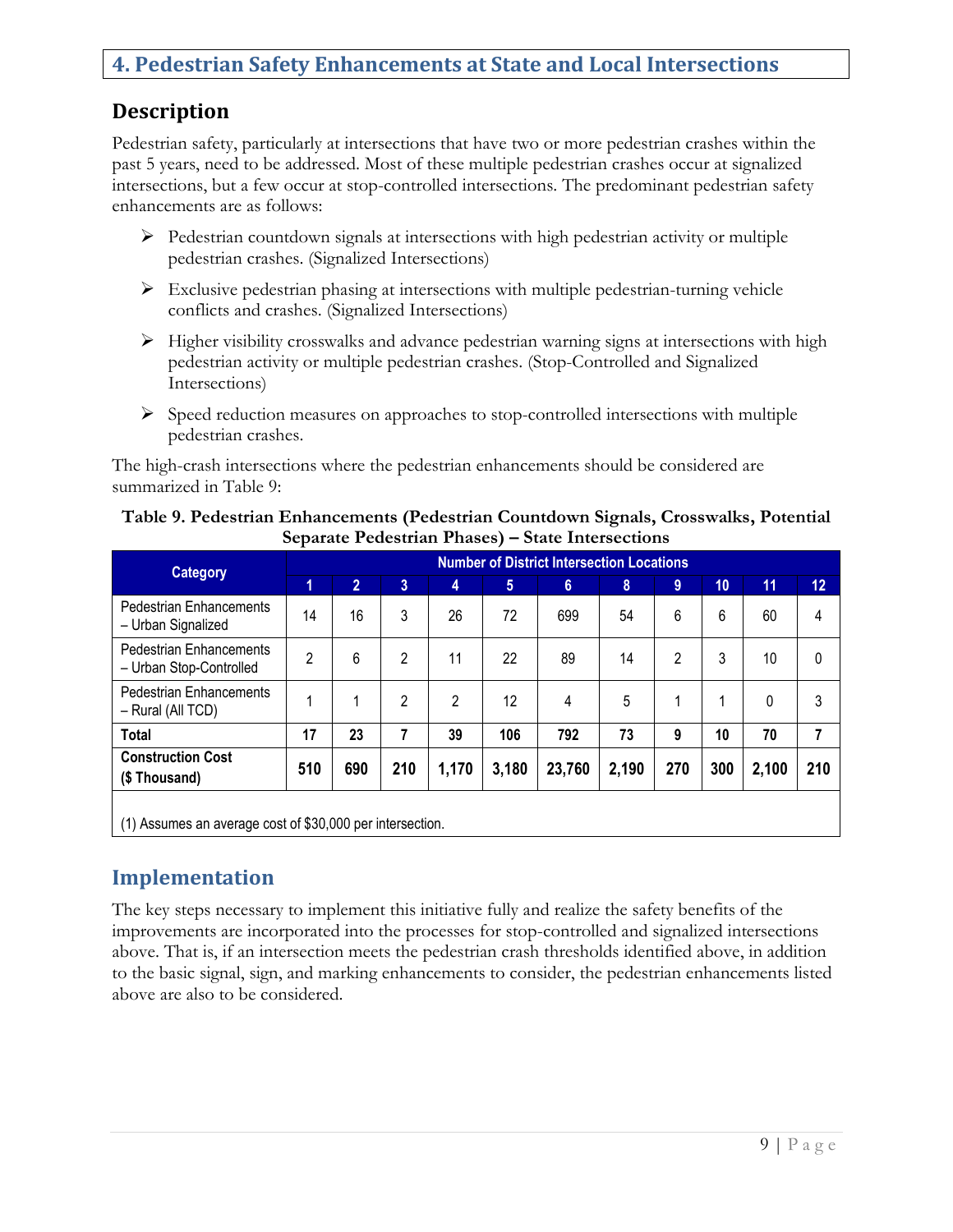#### **4. Pedestrian Safety Enhancements at State and Local Intersections**

#### **Description**

Pedestrian safety, particularly at intersections that have two or more pedestrian crashes within the past 5 years, need to be addressed. Most of these multiple pedestrian crashes occur at signalized intersections, but a few occur at stop-controlled intersections. The predominant pedestrian safety enhancements are as follows:

- $\triangleright$  Pedestrian countdown signals at intersections with high pedestrian activity or multiple pedestrian crashes. (Signalized Intersections)
- $\triangleright$  Exclusive pedestrian phasing at intersections with multiple pedestrian-turning vehicle conflicts and crashes. (Signalized Intersections)
- $\triangleright$  Higher visibility crosswalks and advance pedestrian warning signs at intersections with high pedestrian activity or multiple pedestrian crashes. (Stop-Controlled and Signalized Intersections)
- $\triangleright$  Speed reduction measures on approaches to stop-controlled intersections with multiple pedestrian crashes.

The high-crash intersections where the pedestrian enhancements should be considered are summarized in Table 9:

| <b>Category</b>                                           |                | <b>Number of District Intersection Locations</b> |                |       |                |        |       |     |     |       |                 |  |
|-----------------------------------------------------------|----------------|--------------------------------------------------|----------------|-------|----------------|--------|-------|-----|-----|-------|-----------------|--|
|                                                           | 1              | $\overline{2}$                                   | 3              | 4     | 5 <sup>5</sup> | 6      | 8     | 9   | 10  | 11    | 12 <sub>2</sub> |  |
| <b>Pedestrian Enhancements</b><br>- Urban Signalized      | 14             | 16                                               | 3              | 26    | 72             | 699    | 54    | 6   | 6   | 60    | 4               |  |
| <b>Pedestrian Enhancements</b><br>- Urban Stop-Controlled | $\overline{2}$ | 6                                                | $\overline{2}$ | 11    | 22             | 89     | 14    | 2   | 3   | 10    | $\mathbf{0}$    |  |
| <b>Pedestrian Enhancements</b><br>- Rural (All TCD)       |                |                                                  | $\mathfrak{p}$ | 2     | 12             | 4      | 5     | 1   | 1   | 0     | 3               |  |
| <b>Total</b>                                              | 17             | 23                                               | 7              | 39    | 106            | 792    | 73    | 9   | 10  | 70    | 7               |  |
| <b>Construction Cost</b><br>(\$Thousand)                  | 510            | 690                                              | 210            | 1,170 | 3,180          | 23,760 | 2,190 | 270 | 300 | 2,100 | 210             |  |
| (1) Assumes an average cost of \$30,000 per intersection. |                |                                                  |                |       |                |        |       |     |     |       |                 |  |

#### **Table 9. Pedestrian Enhancements (Pedestrian Countdown Signals, Crosswalks, Potential Separate Pedestrian Phases) – State Intersections**

## **Implementation**

The key steps necessary to implement this initiative fully and realize the safety benefits of the improvements are incorporated into the processes for stop-controlled and signalized intersections above. That is, if an intersection meets the pedestrian crash thresholds identified above, in addition to the basic signal, sign, and marking enhancements to consider, the pedestrian enhancements listed above are also to be considered.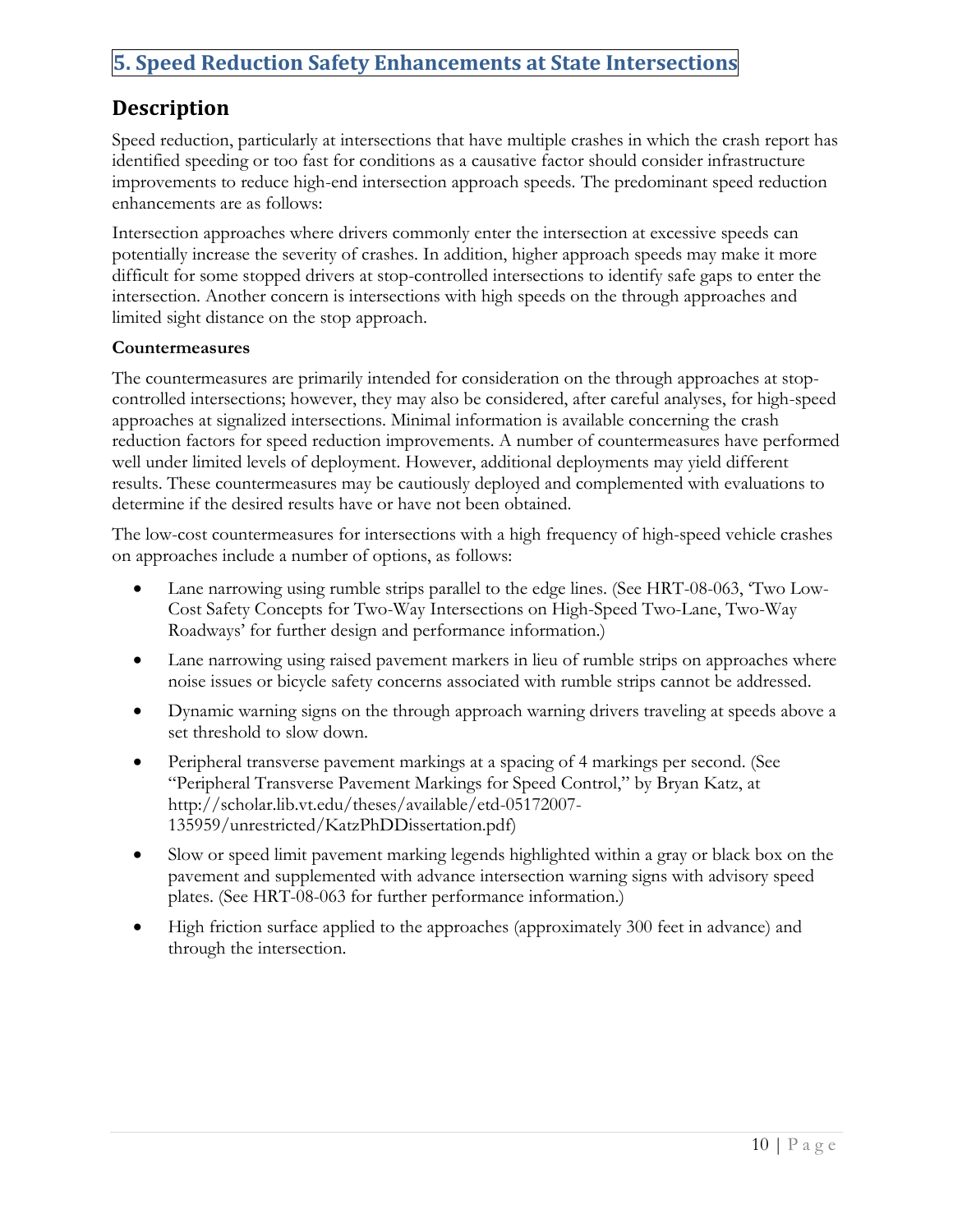## **5. Speed Reduction Safety Enhancements at State Intersections**

#### **Description**

Speed reduction, particularly at intersections that have multiple crashes in which the crash report has identified speeding or too fast for conditions as a causative factor should consider infrastructure improvements to reduce high-end intersection approach speeds. The predominant speed reduction enhancements are as follows:

Intersection approaches where drivers commonly enter the intersection at excessive speeds can potentially increase the severity of crashes. In addition, higher approach speeds may make it more difficult for some stopped drivers at stop-controlled intersections to identify safe gaps to enter the intersection. Another concern is intersections with high speeds on the through approaches and limited sight distance on the stop approach.

#### **Countermeasures**

The countermeasures are primarily intended for consideration on the through approaches at stopcontrolled intersections; however, they may also be considered, after careful analyses, for high-speed approaches at signalized intersections. Minimal information is available concerning the crash reduction factors for speed reduction improvements. A number of countermeasures have performed well under limited levels of deployment. However, additional deployments may yield different results. These countermeasures may be cautiously deployed and complemented with evaluations to determine if the desired results have or have not been obtained.

The low-cost countermeasures for intersections with a high frequency of high-speed vehicle crashes on approaches include a number of options, as follows:

- Lane narrowing using rumble strips parallel to the edge lines. (See HRT-08-063, 'Two Low-Cost Safety Concepts for Two-Way Intersections on High-Speed Two-Lane, Two-Way Roadways' for further design and performance information.)
- Lane narrowing using raised pavement markers in lieu of rumble strips on approaches where noise issues or bicycle safety concerns associated with rumble strips cannot be addressed.
- Dynamic warning signs on the through approach warning drivers traveling at speeds above a set threshold to slow down.
- Peripheral transverse pavement markings at a spacing of 4 markings per second. (See "Peripheral Transverse Pavement Markings for Speed Control," by Bryan Katz, at http://scholar.lib.vt.edu/theses/available/etd-05172007- 135959/unrestricted/KatzPhDDissertation.pdf)
- Slow or speed limit pavement marking legends highlighted within a gray or black box on the pavement and supplemented with advance intersection warning signs with advisory speed plates. (See HRT-08-063 for further performance information.)
- High friction surface applied to the approaches (approximately 300 feet in advance) and through the intersection.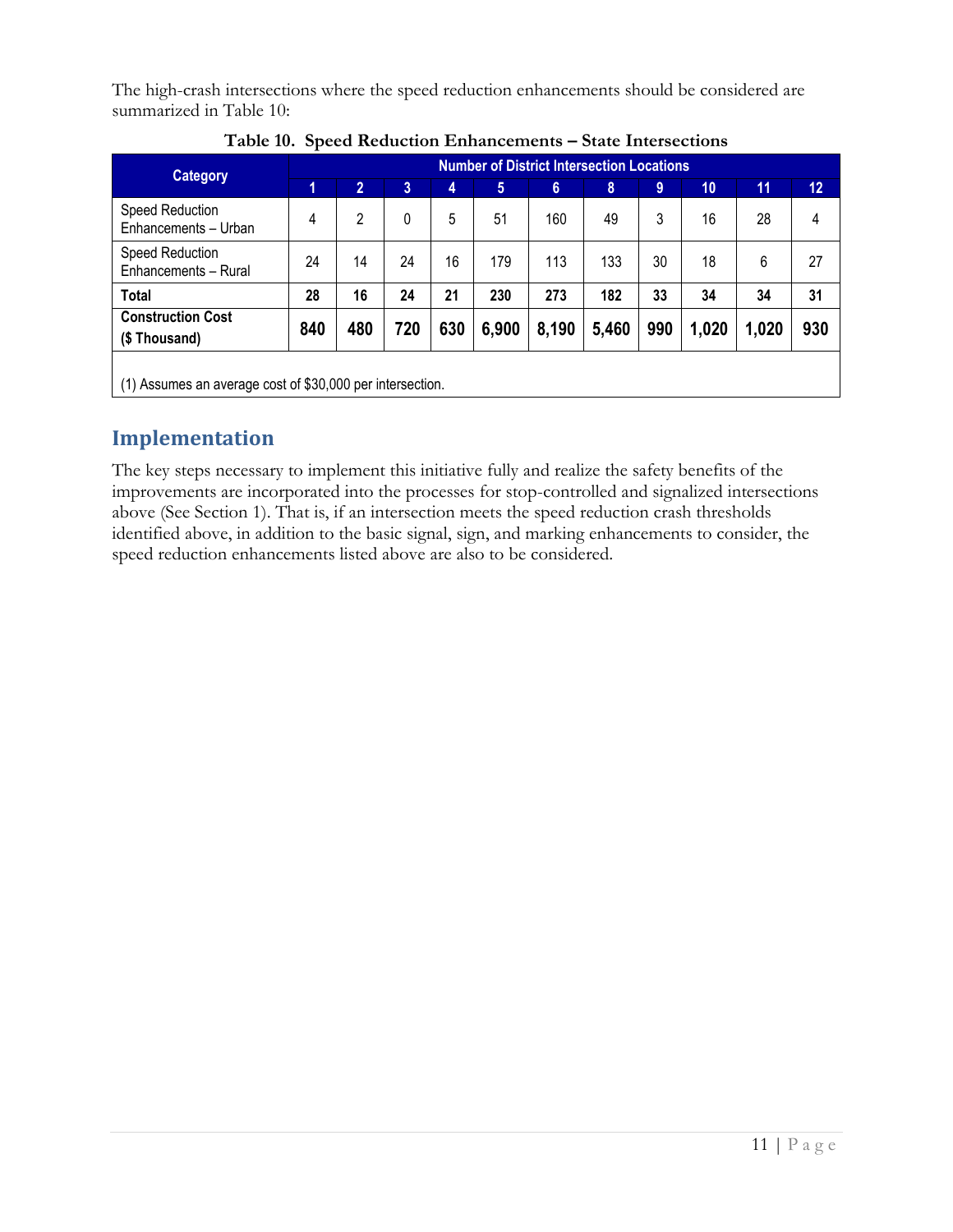The high-crash intersections where the speed reduction enhancements should be considered are summarized in Table 10:

| <b>Category</b>                                           | <b>Number of District Intersection Locations</b> |                |     |     |       |       |       |     |       |       |     |
|-----------------------------------------------------------|--------------------------------------------------|----------------|-----|-----|-------|-------|-------|-----|-------|-------|-----|
|                                                           | 1                                                | $\overline{2}$ | 3   | 4   | 5     | 6     | 8     | 9   | 10    | 11    | 12  |
| Speed Reduction<br>Enhancements - Urban                   | 4                                                | 2              | 0   | 5   | 51    | 160   | 49    | 3   | 16    | 28    | 4   |
| Speed Reduction<br>Enhancements - Rural                   | 24                                               | 14             | 24  | 16  | 179   | 113   | 133   | 30  | 18    | 6     | 27  |
| Total                                                     | 28                                               | 16             | 24  | 21  | 230   | 273   | 182   | 33  | 34    | 34    | 31  |
| <b>Construction Cost</b><br>(\$Thousand)                  | 840                                              | 480            | 720 | 630 | 6,900 | 8,190 | 5,460 | 990 | 1,020 | 1,020 | 930 |
| (1) Assumes an average cost of \$30,000 per intersection. |                                                  |                |     |     |       |       |       |     |       |       |     |

**Table 10. Speed Reduction Enhancements – State Intersections**

## **Implementation**

The key steps necessary to implement this initiative fully and realize the safety benefits of the improvements are incorporated into the processes for stop-controlled and signalized intersections above (See Section 1). That is, if an intersection meets the speed reduction crash thresholds identified above, in addition to the basic signal, sign, and marking enhancements to consider, the speed reduction enhancements listed above are also to be considered.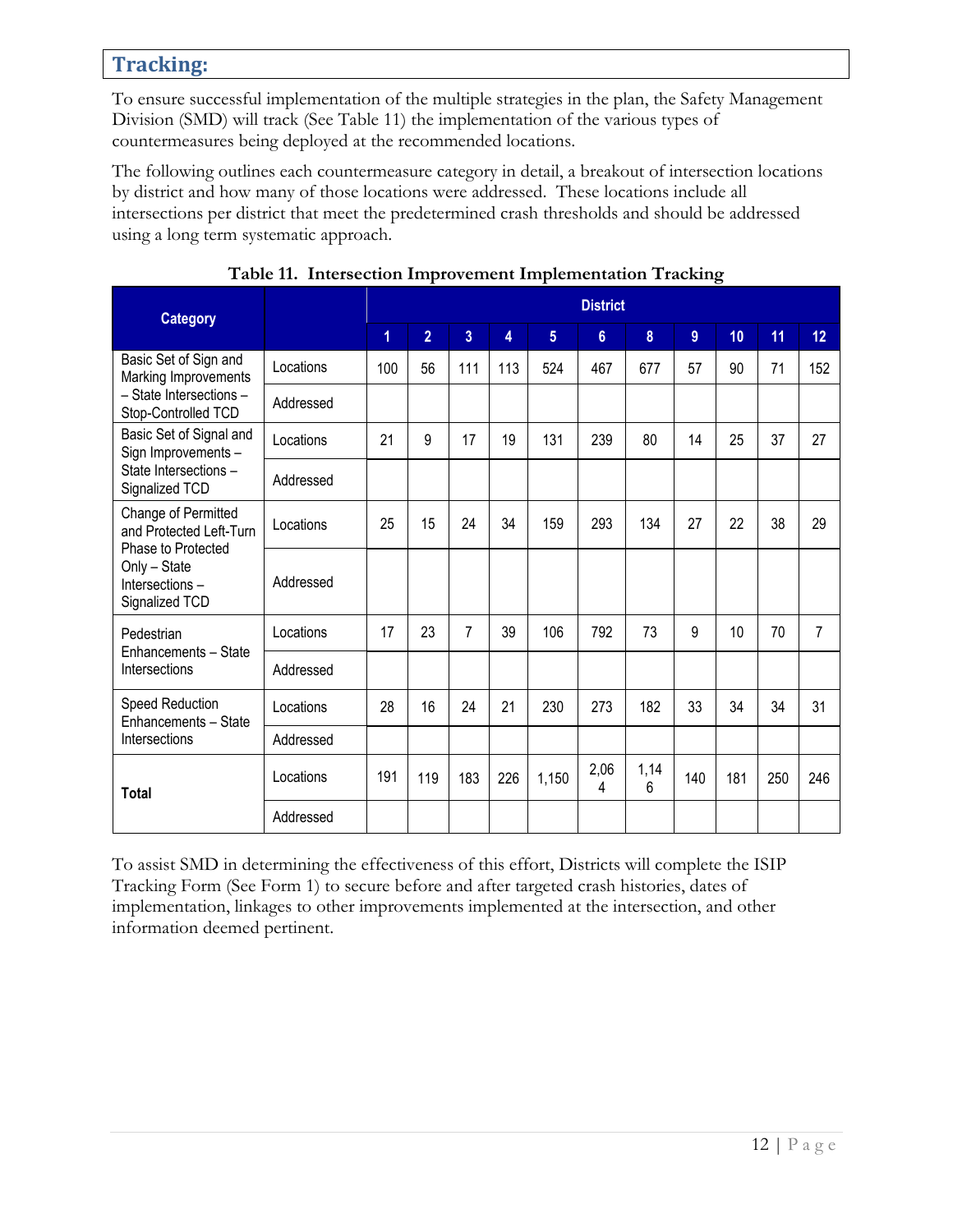#### **Tracking:**

To ensure successful implementation of the multiple strategies in the plan, the Safety Management Division (SMD) will track (See Table 11) the implementation of the various types of countermeasures being deployed at the recommended locations.

The following outlines each countermeasure category in detail, a breakout of intersection locations by district and how many of those locations were addressed. These locations include all intersections per district that meet the predetermined crash thresholds and should be addressed using a long term systematic approach.

| <b>Category</b>                                                                                                          |           | <b>District</b> |                |                |     |                 |                |           |                |     |     |                 |
|--------------------------------------------------------------------------------------------------------------------------|-----------|-----------------|----------------|----------------|-----|-----------------|----------------|-----------|----------------|-----|-----|-----------------|
|                                                                                                                          |           | 1               | $\overline{2}$ | $\overline{3}$ | 4   | $5\phantom{.0}$ | $6\phantom{a}$ | 8         | $\overline{9}$ | 10  | 11  | 12 <sup>2</sup> |
| Basic Set of Sign and<br>Marking Improvements<br>- State Intersections -<br>Stop-Controlled TCD                          | Locations | 100             | 56             | 111            | 113 | 524             | 467            | 677       | 57             | 90  | 71  | 152             |
|                                                                                                                          | Addressed |                 |                |                |     |                 |                |           |                |     |     |                 |
| Basic Set of Signal and<br>Sign Improvements -<br>State Intersections -<br>Signalized TCD                                | Locations | 21              | 9              | 17             | 19  | 131             | 239            | 80        | 14             | 25  | 37  | 27              |
|                                                                                                                          | Addressed |                 |                |                |     |                 |                |           |                |     |     |                 |
| Change of Permitted<br>and Protected Left-Turn<br>Phase to Protected<br>Only - State<br>Intersections-<br>Signalized TCD | Locations | 25              | 15             | 24             | 34  | 159             | 293            | 134       | 27             | 22  | 38  | 29              |
|                                                                                                                          | Addressed |                 |                |                |     |                 |                |           |                |     |     |                 |
| Pedestrian<br>Enhancements - State<br>Intersections                                                                      | Locations | 17              | 23             | $\overline{7}$ | 39  | 106             | 792            | 73        | 9              | 10  | 70  | $\overline{7}$  |
|                                                                                                                          | Addressed |                 |                |                |     |                 |                |           |                |     |     |                 |
| Speed Reduction<br>Enhancements - State<br>Intersections                                                                 | Locations | 28              | 16             | 24             | 21  | 230             | 273            | 182       | 33             | 34  | 34  | 31              |
|                                                                                                                          | Addressed |                 |                |                |     |                 |                |           |                |     |     |                 |
| <b>Total</b>                                                                                                             | Locations | 191             | 119            | 183            | 226 | 1,150           | 2,06<br>4      | 1,14<br>6 | 140            | 181 | 250 | 246             |
|                                                                                                                          | Addressed |                 |                |                |     |                 |                |           |                |     |     |                 |

|  | Table 11. Intersection Improvement Implementation Tracking |  |
|--|------------------------------------------------------------|--|
|  |                                                            |  |
|  |                                                            |  |

To assist SMD in determining the effectiveness of this effort, Districts will complete the ISIP Tracking Form (See Form 1) to secure before and after targeted crash histories, dates of implementation, linkages to other improvements implemented at the intersection, and other information deemed pertinent.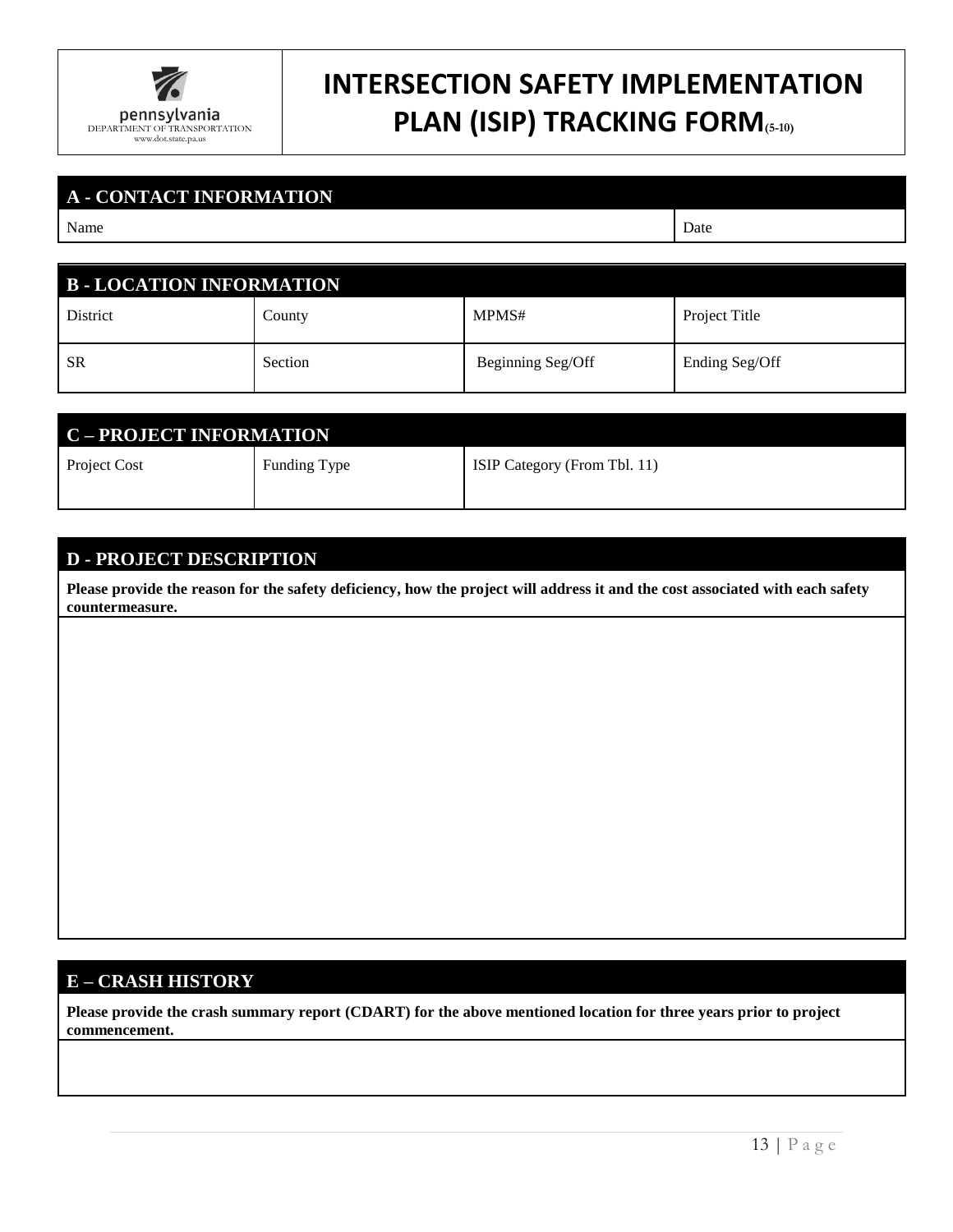

## **INTERSECTION SAFETY IMPLEMENTATION PLAN (ISIP) TRACKING FORM(5-10)**

| <b>A - CONTACT INFORMATION</b> |         |                   |                |  |  |  |  |  |
|--------------------------------|---------|-------------------|----------------|--|--|--|--|--|
| Name                           | Date    |                   |                |  |  |  |  |  |
|                                |         |                   |                |  |  |  |  |  |
| <b>B-LOCATION INFORMATION</b>  |         |                   |                |  |  |  |  |  |
| District                       | County  | MPMS#             | Project Title  |  |  |  |  |  |
| <b>SR</b>                      | Section | Beginning Seg/Off | Ending Seg/Off |  |  |  |  |  |

| <b>C-PROJECT INFORMATION</b> |              |                              |  |  |  |  |
|------------------------------|--------------|------------------------------|--|--|--|--|
| <b>Project Cost</b>          | Funding Type | ISIP Category (From Tbl. 11) |  |  |  |  |
|                              |              |                              |  |  |  |  |

#### **D - PROJECT DESCRIPTION**

**Please provide the reason for the safety deficiency, how the project will address it and the cost associated with each safety countermeasure.**

#### **E – CRASH HISTORY**

**Please provide the crash summary report (CDART) for the above mentioned location for three years prior to project commencement.**